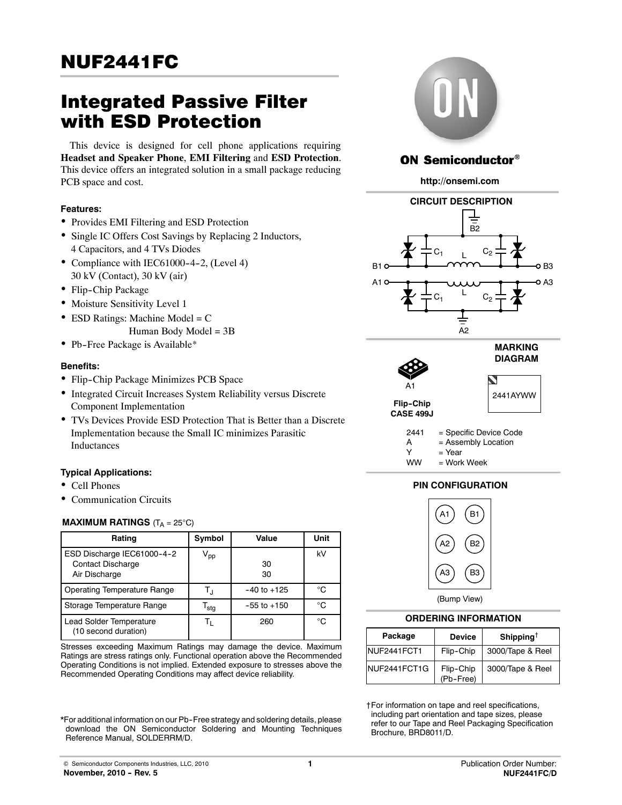# NUF2441FC

# Integrated Passive Filter with ESD Protection

This device is designed for cell phone applications requiring **Headset and Speaker Phone**, **EMI Filtering** and **ESD Protection**. This device offers an integrated solution in a small package reducing PCB space and cost.

#### **Features:**

- Provides EMI Filtering and ESD Protection
- Single IC Offers Cost Savings by Replacing 2 Inductors, 4 Capacitors, and 4 TVs Diodes
- Compliance with IEC61000-4-2, (Level 4) 30 kV (Contact), 30 kV (air)
- Flip-Chip Package
- Moisture Sensitivity Level 1
- $\bullet$  ESD Ratings: Machine Model = C Human Body Model =  $3B$
- Pb-Free Package is Available\*

#### **Benefits:**

- Flip-Chip Package Minimizes PCB Space
- Integrated Circuit Increases System Reliability versus Discrete Component Implementation
- TVs Devices Provide ESD Protection That is Better than a Discrete Implementation because the Small IC minimizes Parasitic Inductances

### **Typical Applications:**

- Cell Phones
- Communication Circuits

### **MAXIMUM RATINGS**  $(T_A = 25^{\circ}C)$

| Rating                                                                  | Symbol                     | Value           | Unit |  |
|-------------------------------------------------------------------------|----------------------------|-----------------|------|--|
| ESD Discharge IEC61000-4-2<br><b>Contact Discharge</b><br>Air Discharge | $\mathsf{V}_{\mathsf{pp}}$ | 30<br>30        | kV   |  |
| <b>Operating Temperature Range</b>                                      | T.ı                        | $-40$ to $+125$ | °C   |  |
| Storage Temperature Range                                               | $\mathsf{T_{\text{stg}}}$  | $-55$ to $+150$ | °€   |  |
| Lead Solder Temperature<br>(10 second duration)                         | Τı                         | 260             | °C   |  |

Stresses exceeding Maximum Ratings may damage the device. Maximum Ratings are stress ratings only. Functional operation above the Recommended Operating Conditions is not implied. Extended exposure to stresses above the Recommended Operating Conditions may affect device reliability.

\*For additional information on our Pb--Free strategy and soldering details, please download the ON Semiconductor Soldering and Mounting Techniques Reference Manual, SOLDERRM/D.



## **ON Semiconductor®**

**http://onsemi.com**





# **DIAGRAM**  $\blacktriangledown$ 2441AYWW

2441 = Specific Device Code

- A = Assembly Location
- $Y = Year$
- WW = Work Week

### **PIN CONFIGURATION**



(Bump View)

#### **ORDERING INFORMATION**

| Package       | <b>Device</b>          | Shipping <sup>†</sup> |
|---------------|------------------------|-----------------------|
| INUF2441FCT1  | Flip-Chip              | 3000/Tape & Reel      |
| INUF2441FCT1G | Flip-Chip<br>(Pb-Free) | 3000/Tape & Reel      |

†For information on tape and reel specifications, including part orientation and tape sizes, please refer to our Tape and Reel Packaging Specification Brochure, BRD8011/D.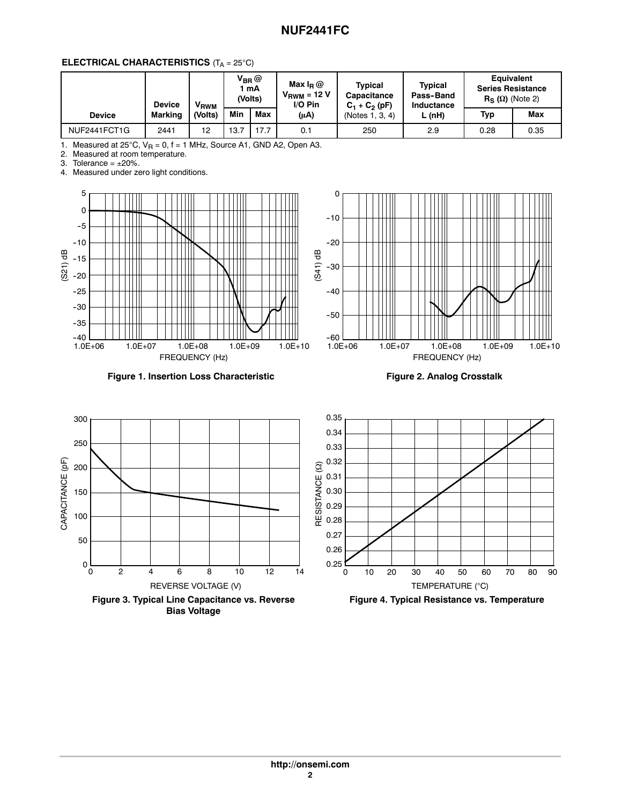## **NUF2441FC**

## **ELECTRICAL CHARACTERISTICS** (T<sub>A</sub> = 25°C)

|               | <b>Device</b>  | V <sub>RWM</sub> |      | $\mathsf{V}_{\mathsf{BR}} @$<br>mA<br>(Volts) | Max $I_R @$<br>Tvpical<br>$V_{\text{RWM}}$ = 12 V<br>$I/O$ Pin | <b>Capacitance</b><br>$C_1 + C_2$ (pF) | Typical<br>Pass-Band<br>Inductance | <b>Equivalent</b><br><b>Series Resistance</b><br>$R_S(\Omega)$ (Note 2) |      |
|---------------|----------------|------------------|------|-----------------------------------------------|----------------------------------------------------------------|----------------------------------------|------------------------------------|-------------------------------------------------------------------------|------|
| <b>Device</b> | <b>Marking</b> | (Volts)          | Min  | Max                                           | $(\mu A)$                                                      | (Notes 1, 3, 4)                        | L(nH)                              | Typ                                                                     | Max  |
| NUF2441FCT1G  | 2441           | 12               | 13.7 | 17.7                                          | 0.1                                                            | 250                                    | 2.9                                | 0.28                                                                    | 0.35 |

1. Measured at 25°C, V<sub>R</sub> = 0, f = 1 MHz, Source A1, GND A2, Open A3.<br>2. Measured at room temperature.

3. Tolerance =  $\pm 20\%$ .

4. Measured under zero light conditions.





**Figure 1. Insertion Loss Characteristic**

**Figure 2. Analog Crosstalk**